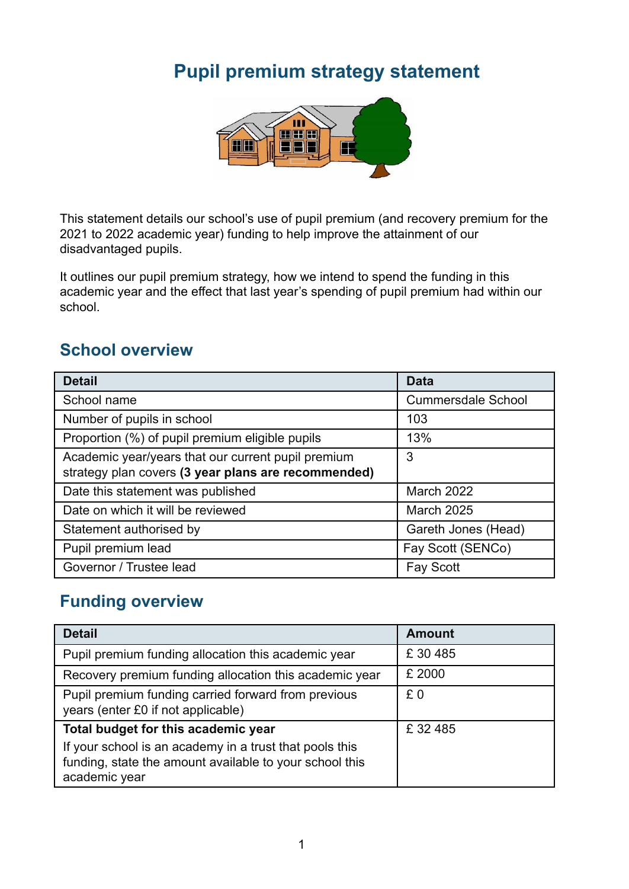# **Pupil premium strategy statement**



This statement details our school's use of pupil premium (and recovery premium for the 2021 to 2022 academic year) funding to help improve the attainment of our disadvantaged pupils.

It outlines our pupil premium strategy, how we intend to spend the funding in this academic year and the effect that last year's spending of pupil premium had within our school.

### **School overview**

| <b>Detail</b>                                                                                             | <b>Data</b>               |
|-----------------------------------------------------------------------------------------------------------|---------------------------|
| School name                                                                                               | <b>Cummersdale School</b> |
| Number of pupils in school                                                                                | 103                       |
| Proportion (%) of pupil premium eligible pupils                                                           | 13%                       |
| Academic year/years that our current pupil premium<br>strategy plan covers (3 year plans are recommended) | 3                         |
| Date this statement was published                                                                         | <b>March 2022</b>         |
| Date on which it will be reviewed                                                                         | <b>March 2025</b>         |
| Statement authorised by                                                                                   | Gareth Jones (Head)       |
| Pupil premium lead                                                                                        | Fay Scott (SENCo)         |
| Governor / Trustee lead                                                                                   | <b>Fay Scott</b>          |

### **Funding overview**

| <b>Detail</b>                                                                                                                       | <b>Amount</b> |
|-------------------------------------------------------------------------------------------------------------------------------------|---------------|
| Pupil premium funding allocation this academic year                                                                                 | £30485        |
| Recovery premium funding allocation this academic year                                                                              | £ 2000        |
| Pupil premium funding carried forward from previous<br>years (enter £0 if not applicable)                                           | £0            |
| Total budget for this academic year                                                                                                 | £32485        |
| If your school is an academy in a trust that pools this<br>funding, state the amount available to your school this<br>academic year |               |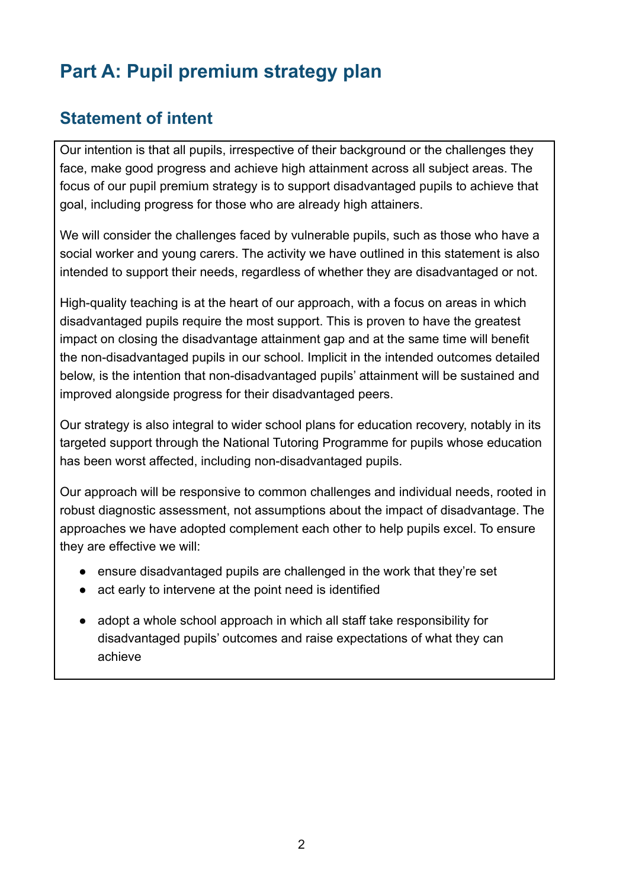# **Part A: Pupil premium strategy plan**

## **Statement of intent**

Our intention is that all pupils, irrespective of their background or the challenges they face, make good progress and achieve high attainment across all subject areas. The focus of our pupil premium strategy is to support disadvantaged pupils to achieve that goal, including progress for those who are already high attainers.

We will consider the challenges faced by vulnerable pupils, such as those who have a social worker and young carers. The activity we have outlined in this statement is also intended to support their needs, regardless of whether they are disadvantaged or not.

High-quality teaching is at the heart of our approach, with a focus on areas in which disadvantaged pupils require the most support. This is proven to have the greatest impact on closing the disadvantage attainment gap and at the same time will benefit the non-disadvantaged pupils in our school. Implicit in the intended outcomes detailed below, is the intention that non-disadvantaged pupils' attainment will be sustained and improved alongside progress for their disadvantaged peers.

Our strategy is also integral to wider school plans for education recovery, notably in its targeted support through the National Tutoring Programme for pupils whose education has been worst affected, including non-disadvantaged pupils.

Our approach will be responsive to common challenges and individual needs, rooted in robust diagnostic assessment, not assumptions about the impact of disadvantage. The approaches we have adopted complement each other to help pupils excel. To ensure they are effective we will:

- ensure disadvantaged pupils are challenged in the work that they're set
- act early to intervene at the point need is identified
- *●* adopt a whole school approach in which all staff take responsibility for disadvantaged pupils' outcomes and raise expectations of what they can achieve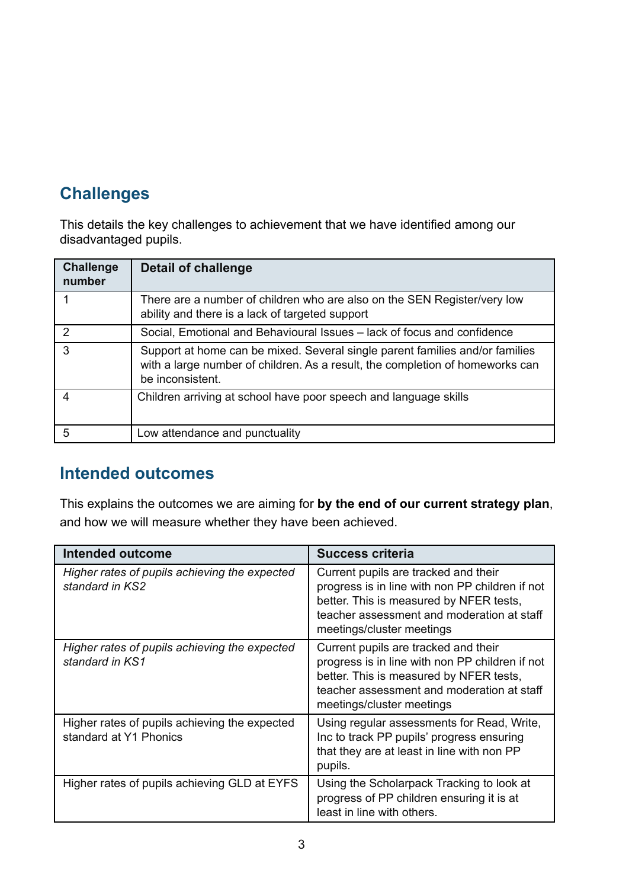## **Challenges**

This details the key challenges to achievement that we have identified among our disadvantaged pupils.

| <b>Challenge</b><br>number | <b>Detail of challenge</b>                                                                                                                                                        |
|----------------------------|-----------------------------------------------------------------------------------------------------------------------------------------------------------------------------------|
|                            | There are a number of children who are also on the SEN Register/very low<br>ability and there is a lack of targeted support                                                       |
| 2                          | Social, Emotional and Behavioural Issues - lack of focus and confidence                                                                                                           |
| 3                          | Support at home can be mixed. Several single parent families and/or families<br>with a large number of children. As a result, the completion of homeworks can<br>be inconsistent. |
|                            | Children arriving at school have poor speech and language skills                                                                                                                  |
| 5                          | Low attendance and punctuality                                                                                                                                                    |

## **Intended outcomes**

This explains the outcomes we are aiming for **by the end of our current strategy plan**, and how we will measure whether they have been achieved.

| Intended outcome                                                        | <b>Success criteria</b>                                                                                                                                                                                       |
|-------------------------------------------------------------------------|---------------------------------------------------------------------------------------------------------------------------------------------------------------------------------------------------------------|
| Higher rates of pupils achieving the expected<br>standard in KS2        | Current pupils are tracked and their<br>progress is in line with non PP children if not<br>better. This is measured by NFER tests,<br>teacher assessment and moderation at staff<br>meetings/cluster meetings |
| Higher rates of pupils achieving the expected<br>standard in KS1        | Current pupils are tracked and their<br>progress is in line with non PP children if not<br>better. This is measured by NFER tests,<br>teacher assessment and moderation at staff<br>meetings/cluster meetings |
| Higher rates of pupils achieving the expected<br>standard at Y1 Phonics | Using regular assessments for Read, Write,<br>Inc to track PP pupils' progress ensuring<br>that they are at least in line with non PP<br>pupils.                                                              |
| Higher rates of pupils achieving GLD at EYFS                            | Using the Scholarpack Tracking to look at<br>progress of PP children ensuring it is at<br>least in line with others.                                                                                          |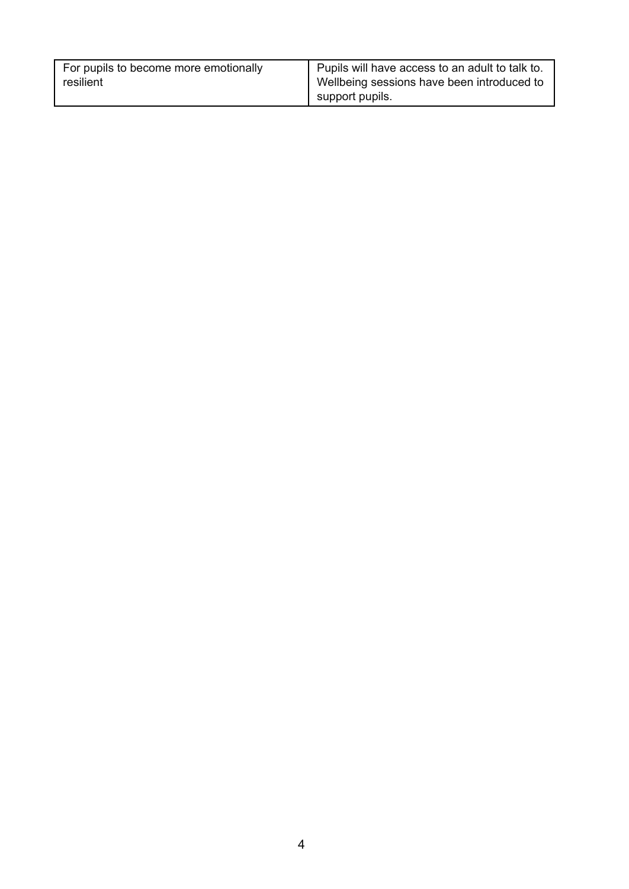| For pupils to become more emotionally | Pupils will have access to an adult to talk to. |
|---------------------------------------|-------------------------------------------------|
| resilient                             | Wellbeing sessions have been introduced to      |
|                                       | support pupils.                                 |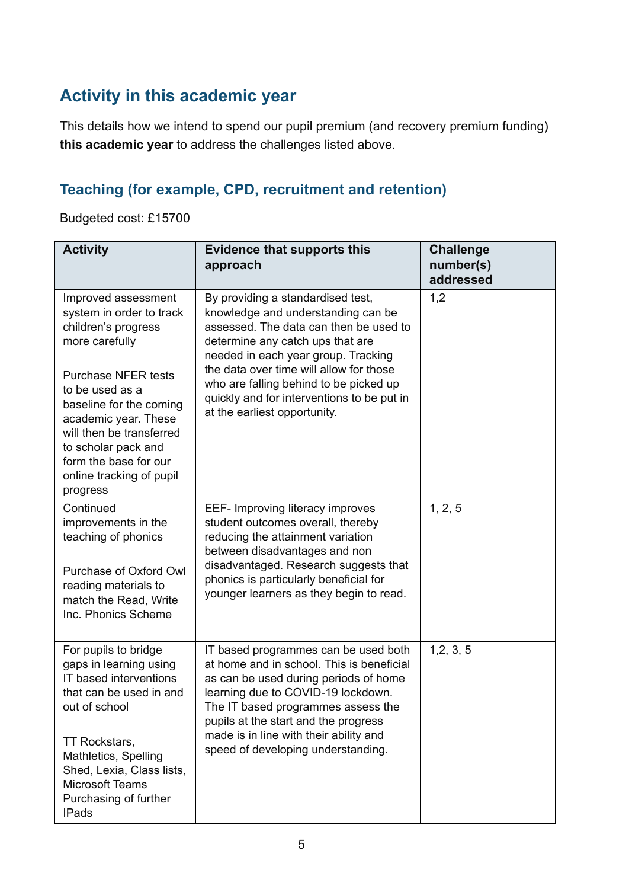## **Activity in this academic year**

This details how we intend to spend our pupil premium (and recovery premium funding) **this academic year** to address the challenges listed above.

#### **Teaching (for example, CPD, recruitment and retention)**

Budgeted cost: £15700

| <b>Activity</b>                                                                                                                                                                                                                                               | <b>Evidence that supports this</b><br>approach                                                                                                                                                                                                                                                                                 | <b>Challenge</b><br>number(s)<br>addressed |
|---------------------------------------------------------------------------------------------------------------------------------------------------------------------------------------------------------------------------------------------------------------|--------------------------------------------------------------------------------------------------------------------------------------------------------------------------------------------------------------------------------------------------------------------------------------------------------------------------------|--------------------------------------------|
| Improved assessment<br>system in order to track<br>children's progress<br>more carefully                                                                                                                                                                      | By providing a standardised test,<br>knowledge and understanding can be<br>assessed. The data can then be used to<br>determine any catch ups that are<br>needed in each year group. Tracking<br>the data over time will allow for those                                                                                        | 1,2                                        |
| <b>Purchase NFER tests</b><br>to be used as a<br>baseline for the coming<br>academic year. These<br>will then be transferred<br>to scholar pack and<br>form the base for our<br>online tracking of pupil<br>progress                                          | who are falling behind to be picked up<br>quickly and for interventions to be put in<br>at the earliest opportunity.                                                                                                                                                                                                           |                                            |
| Continued<br>improvements in the<br>teaching of phonics<br>Purchase of Oxford Owl<br>reading materials to<br>match the Read, Write<br>Inc. Phonics Scheme                                                                                                     | EEF- Improving literacy improves<br>student outcomes overall, thereby<br>reducing the attainment variation<br>between disadvantages and non<br>disadvantaged. Research suggests that<br>phonics is particularly beneficial for<br>younger learners as they begin to read.                                                      | 1, 2, 5                                    |
| For pupils to bridge<br>gaps in learning using<br>IT based interventions<br>that can be used in and<br>out of school<br>TT Rockstars,<br>Mathletics, Spelling<br>Shed, Lexia, Class lists,<br><b>Microsoft Teams</b><br>Purchasing of further<br><b>IPads</b> | IT based programmes can be used both<br>at home and in school. This is beneficial<br>as can be used during periods of home<br>learning due to COVID-19 lockdown.<br>The IT based programmes assess the<br>pupils at the start and the progress<br>made is in line with their ability and<br>speed of developing understanding. | 1, 2, 3, 5                                 |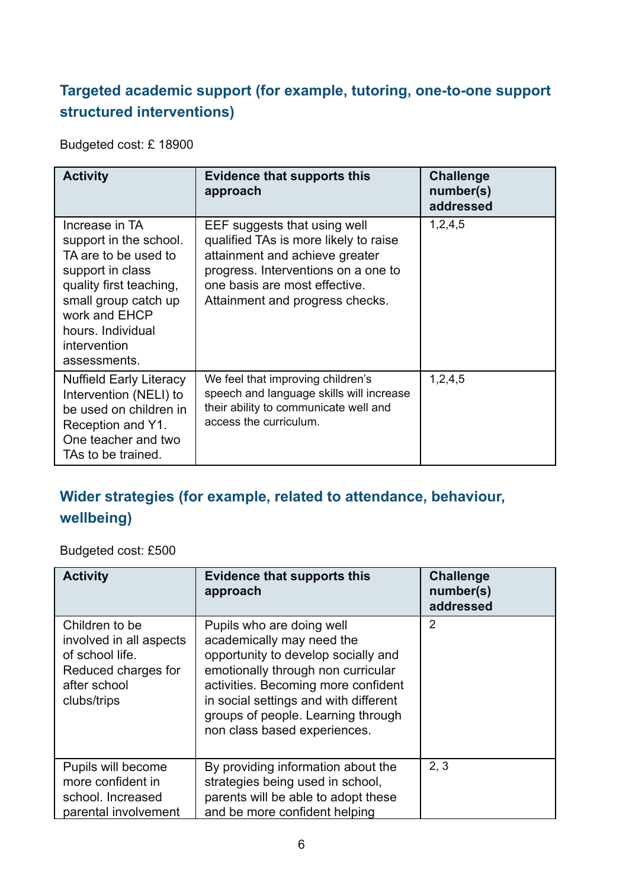## **Targeted academic support (for example, tutoring, one-to-one support structured interventions)**

Budgeted cost: £ 18900

| <b>Activity</b>                                                                                                                                                                                               | <b>Evidence that supports this</b><br>approach                                                                                                                                                                     | <b>Challenge</b><br>number(s)<br>addressed |
|---------------------------------------------------------------------------------------------------------------------------------------------------------------------------------------------------------------|--------------------------------------------------------------------------------------------------------------------------------------------------------------------------------------------------------------------|--------------------------------------------|
| Increase in TA<br>support in the school.<br>TA are to be used to<br>support in class<br>quality first teaching,<br>small group catch up<br>work and EHCP<br>hours. Individual<br>intervention<br>assessments. | EEF suggests that using well<br>qualified TAs is more likely to raise<br>attainment and achieve greater<br>progress. Interventions on a one to<br>one basis are most effective.<br>Attainment and progress checks. | 1,2,4,5                                    |
| <b>Nuffield Early Literacy</b><br>Intervention (NELI) to<br>be used on children in<br>Reception and Y1.<br>One teacher and two<br>TAs to be trained.                                                          | We feel that improving children's<br>speech and language skills will increase<br>their ability to communicate well and<br>access the curriculum.                                                                   | 1,2,4,5                                    |

## **Wider strategies (for example, related to attendance, behaviour, wellbeing)**

Budgeted cost: £500

| <b>Activity</b>                                                                                                    | <b>Evidence that supports this</b><br>approach                                                                                                                                                                                                                                            | <b>Challenge</b><br>number(s)<br>addressed |
|--------------------------------------------------------------------------------------------------------------------|-------------------------------------------------------------------------------------------------------------------------------------------------------------------------------------------------------------------------------------------------------------------------------------------|--------------------------------------------|
| Children to be<br>involved in all aspects<br>of school life.<br>Reduced charges for<br>after school<br>clubs/trips | Pupils who are doing well<br>academically may need the<br>opportunity to develop socially and<br>emotionally through non curricular<br>activities. Becoming more confident<br>in social settings and with different<br>groups of people. Learning through<br>non class based experiences. | 2                                          |
| Pupils will become<br>more confident in                                                                            | By providing information about the<br>strategies being used in school,                                                                                                                                                                                                                    | 2, 3                                       |
| school. Increased                                                                                                  | parents will be able to adopt these                                                                                                                                                                                                                                                       |                                            |
| parental involvement                                                                                               | and be more confident helping                                                                                                                                                                                                                                                             |                                            |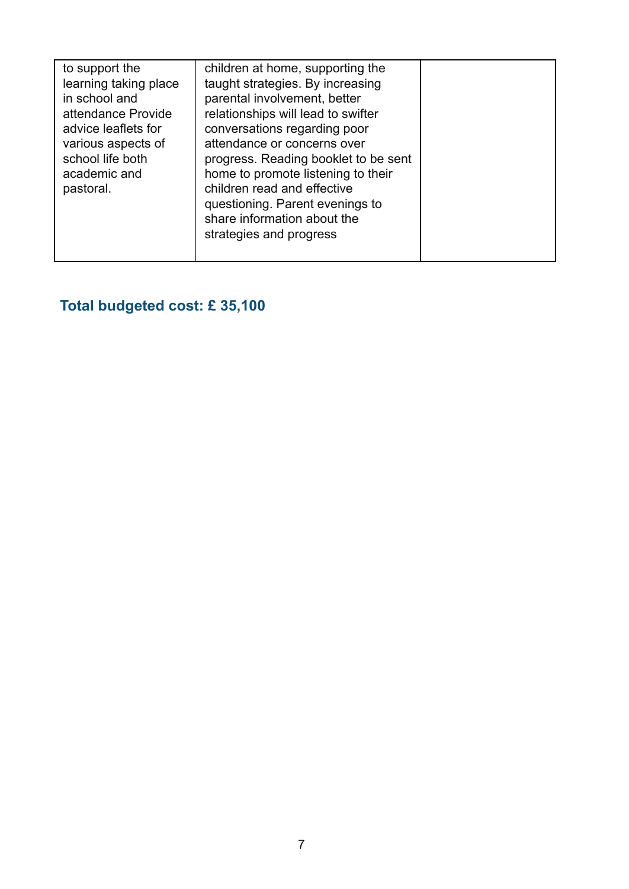| to support the<br>learning taking place<br>in school and<br>attendance Provide<br>advice leaflets for<br>various aspects of<br>school life both<br>academic and<br>pastoral. | children at home, supporting the<br>taught strategies. By increasing<br>parental involvement, better<br>relationships will lead to swifter<br>conversations regarding poor<br>attendance or concerns over<br>progress. Reading booklet to be sent<br>home to promote listening to their<br>children read and effective<br>questioning. Parent evenings to<br>share information about the<br>strategies and progress |  |
|------------------------------------------------------------------------------------------------------------------------------------------------------------------------------|---------------------------------------------------------------------------------------------------------------------------------------------------------------------------------------------------------------------------------------------------------------------------------------------------------------------------------------------------------------------------------------------------------------------|--|
|                                                                                                                                                                              |                                                                                                                                                                                                                                                                                                                                                                                                                     |  |

# **Total budgeted cost: £ 35,100**